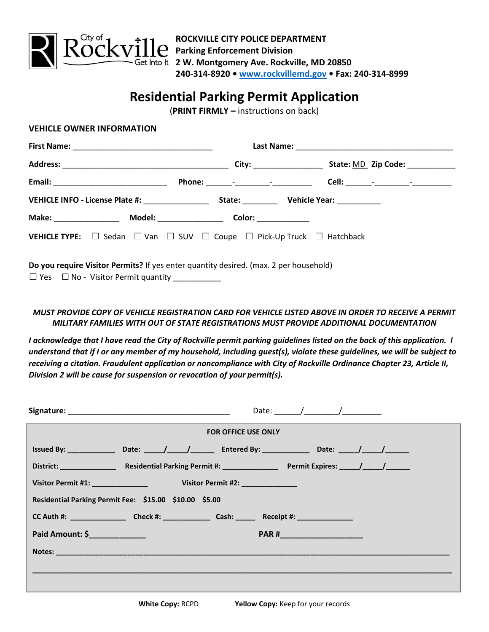

# **Residential Parking Permit Application**

(**PRINT FIRMLY –** instructions on back)

| <b>VEHICLE TYPE:</b> $\Box$ Sedan $\Box$ Van $\Box$ SUV $\Box$ Coupe $\Box$ Pick-Up Truck $\Box$ Hatchback |  |  |  |
|------------------------------------------------------------------------------------------------------------|--|--|--|
|                                                                                                            |  |  |  |
| Do you require Visitor Permits? If yes enter quantity desired. (max. 2 per household)                      |  |  |  |

## *MUST PROVIDE COPY OF VEHICLE REGISTRATION CARD FOR VEHICLE LISTED ABOVE IN ORDER TO RECEIVE A PERMIT MILITARY FAMILIES WITH OUT OF STATE REGISTRATIONS MUST PROVIDE ADDITIONAL DOCUMENTATION*

*I acknowledge that I have read the City of Rockville permit parking guidelines listed on the back of this application. I understand that if I or any member of my household, including guest(s), violate these guidelines, we will be subject to receiving a citation. Fraudulent application or noncompliance with City of Rockville Ordinance Chapter 23, Article II, Division 2 will be cause for suspension or revocation of your permit(s).*

| <b>FOR OFFICE USE ONLY</b>                                                                 |       |  |  |  |  |
|--------------------------------------------------------------------------------------------|-------|--|--|--|--|
| Issued By: $\qquad \qquad$ Date: $\qquad$ / $\qquad$ Entered By: Date: $\qquad$ / $\qquad$ |       |  |  |  |  |
|                                                                                            |       |  |  |  |  |
|                                                                                            |       |  |  |  |  |
| Residential Parking Permit Fee: \$15.00 \$10.00 \$5.00                                     |       |  |  |  |  |
|                                                                                            |       |  |  |  |  |
| Paid Amount: \$                                                                            | PAR # |  |  |  |  |
|                                                                                            |       |  |  |  |  |
|                                                                                            |       |  |  |  |  |
|                                                                                            |       |  |  |  |  |